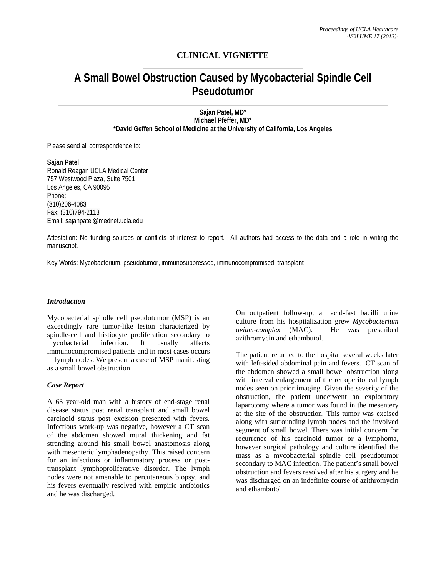## **CLINICAL VIGNETTE**

# **A Small Bowel Obstruction Caused by Mycobacterial Spindle Cell Pseudotumor**

**Sajan Patel, MD\* Michael Pfeffer, MD\* \*David Geffen School of Medicine at the University of California, Los Angeles** 

Please send all correspondence to:

**Sajan Patel**  Ronald Reagan UCLA Medical Center 757 Westwood Plaza, Suite 7501 Los Angeles, CA 90095 Phone: (310)206-4083 Fax: (310)794-2113 Email: sajanpatel@mednet.ucla.edu

Attestation: No funding sources or conflicts of interest to report. All authors had access to the data and a role in writing the manuscript.

Key Words: Mycobacterium, pseudotumor, immunosuppressed, immunocompromised, transplant

## *Introduction*

Mycobacterial spindle cell pseudotumor (MSP) is an exceedingly rare tumor-like lesion characterized by spindle-cell and histiocyte proliferation secondary to mycobacterial infection. It usually affects immunocompromised patients and in most cases occurs in lymph nodes. We present a case of MSP manifesting as a small bowel obstruction.

## *Case Report*

A 63 year-old man with a history of end-stage renal disease status post renal transplant and small bowel carcinoid status post excision presented with fevers. Infectious work-up was negative, however a CT scan of the abdomen showed mural thickening and fat stranding around his small bowel anastomosis along with mesenteric lymphadenopathy. This raised concern for an infectious or inflammatory process or posttransplant lymphoproliferative disorder. The lymph nodes were not amenable to percutaneous biopsy, and his fevers eventually resolved with empiric antibiotics and he was discharged.

On outpatient follow-up, an acid-fast bacilli urine culture from his hospitalization grew *Mycobacterium avium-complex* (MAC). He was prescribed azithromycin and ethambutol.

The patient returned to the hospital several weeks later with left-sided abdominal pain and fevers. CT scan of the abdomen showed a small bowel obstruction along with interval enlargement of the retroperitoneal lymph nodes seen on prior imaging. Given the severity of the obstruction, the patient underwent an exploratory laparotomy where a tumor was found in the mesentery at the site of the obstruction. This tumor was excised along with surrounding lymph nodes and the involved segment of small bowel. There was initial concern for recurrence of his carcinoid tumor or a lymphoma, however surgical pathology and culture identified the mass as a mycobacterial spindle cell pseudotumor secondary to MAC infection. The patient's small bowel obstruction and fevers resolved after his surgery and he was discharged on an indefinite course of azithromycin and ethambutol